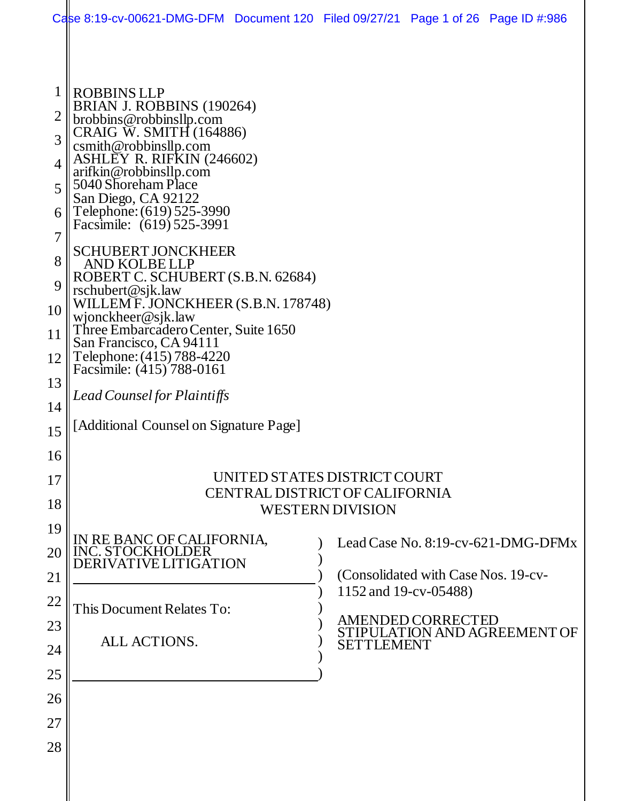|                     | Case 8:19-cv-00621-DMG-DFM Document 120 Filed 09/27/21 Page 1 of 26 Page ID #:986             |  |                   |                                                              |                                    |
|---------------------|-----------------------------------------------------------------------------------------------|--|-------------------|--------------------------------------------------------------|------------------------------------|
|                     |                                                                                               |  |                   |                                                              |                                    |
| 1<br>$\overline{2}$ | <b>ROBBINS LLP</b><br>BRIAN J. ROBBINS (190264)<br>brobbins@robbinsllp.com                    |  |                   |                                                              |                                    |
| 3                   | CRAIG W. SMITH (164886)<br>csmith@robbinsllp.com<br>ASHLEY R. RIFKIN (246602)                 |  |                   |                                                              |                                    |
| $\overline{4}$<br>5 | arifkin@robbinsllp.com<br>5040 Shoreham Place<br>San Diego, CA 92122                          |  |                   |                                                              |                                    |
| 6<br>7              | Telephone: (619) 525-3990<br>Facsimile: (619) 525-3991                                        |  |                   |                                                              |                                    |
| 8                   | <b>SCHUBERT JONCKHEER</b><br>AND KOLBE LLP                                                    |  |                   |                                                              |                                    |
| 9                   | ROBERT C. SCHUBERT (S.B.N. 62684)<br>rschubert@sjk.law<br>WILLEM F. JONCKHEER (S.B.N. 178748) |  |                   |                                                              |                                    |
| 10<br>11            | wjonckheer@sjk.law<br>Three Embarcadero Center, Suite 1650                                    |  |                   |                                                              |                                    |
| 12                  | San Francisco, CA 94111<br>Telephone: (415) 788-4220                                          |  |                   |                                                              |                                    |
| 13                  | Facsimile: (415) 788-0161                                                                     |  |                   |                                                              |                                    |
| 14                  | Lead Counsel for Plaintiffs                                                                   |  |                   |                                                              |                                    |
| 15                  | [Additional Counsel on Signature Page]                                                        |  |                   |                                                              |                                    |
| 16                  |                                                                                               |  |                   |                                                              |                                    |
| 17<br>18            | UNITED STATES DISTRICT COURT<br>CENTRAL DISTRICT OF CALIFORNIA<br><b>WESTERN DIVISION</b>     |  |                   |                                                              |                                    |
| 19                  |                                                                                               |  |                   |                                                              |                                    |
| 20                  | IN RE BANC OF CALIFORNIA, INC. STOCKHOLDER<br>DERIVATIVE LITIGATION                           |  |                   |                                                              | Lead Case No. 8:19-cv-621-DMG-DFMx |
| 21                  |                                                                                               |  |                   | (Consolidated with Case Nos. 19-cv-<br>1152 and 19-cv-05488) |                                    |
| 22                  | This Document Relates To:                                                                     |  |                   | <b>AMENDED CORRECTED</b>                                     |                                    |
| 23<br>24            | ALL ACTIONS.                                                                                  |  | <b>SETTLEMENT</b> |                                                              | STIPULATION AND AGREEMENT OF       |
| 25                  |                                                                                               |  |                   |                                                              |                                    |
| 26                  |                                                                                               |  |                   |                                                              |                                    |
| 27                  |                                                                                               |  |                   |                                                              |                                    |
| 28                  |                                                                                               |  |                   |                                                              |                                    |
|                     |                                                                                               |  |                   |                                                              |                                    |
|                     |                                                                                               |  |                   |                                                              |                                    |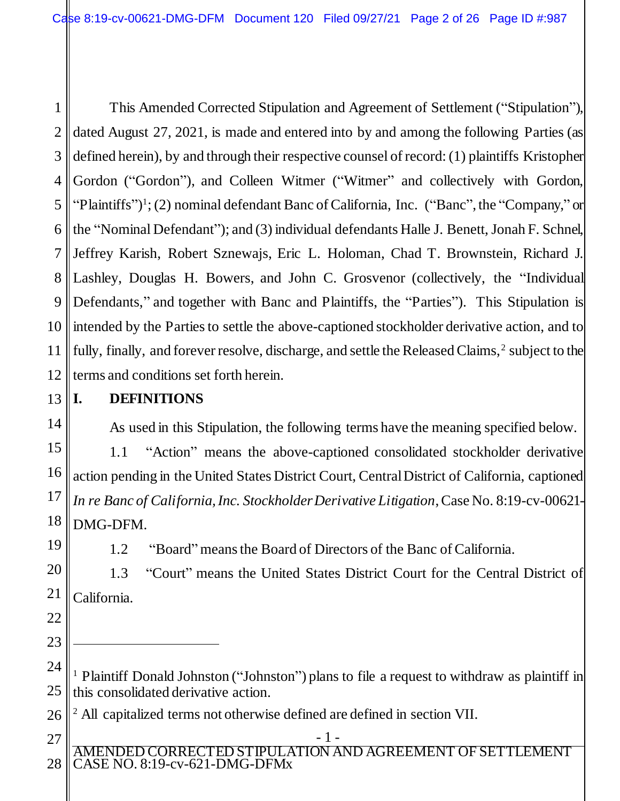1 2 3 4 5 6 7 8 9 10 11 12 This Amended Corrected Stipulation and Agreement of Settlement ("Stipulation"), dated August 27, 2021, is made and entered into by and among the following Parties (as defined herein), by and through their respective counsel of record: (1) plaintiffs Kristopher Gordon ("Gordon"), and Colleen Witmer ("Witmer" and collectively with Gordon, "Plaintiffs")<sup>1</sup>; (2) nominal defendant Banc of California, Inc. ("Banc", the "Company," or the "Nominal Defendant"); and (3) individual defendants Halle J. Benett, Jonah F. Schnel, Jeffrey Karish, Robert Sznewajs, Eric L. Holoman, Chad T. Brownstein, Richard J. Lashley, Douglas H. Bowers, and John C. Grosvenor (collectively, the "Individual Defendants," and together with Banc and Plaintiffs, the "Parties"). This Stipulation is intended by the Parties to settle the above-captioned stockholder derivative action, and to fully, finally, and forever resolve, discharge, and settle the Released Claims,<sup>2</sup> subject to the terms and conditions set forth herein.

13

# **I. DEFINITIONS**

As used in this Stipulation, the following terms have the meaning specified below. 1.1 "Action" means the above-captioned consolidated stockholder derivative action pending in the United States District Court, Central District of California, captioned *In re Banc of California, Inc. Stockholder Derivative Litigation*, Case No. 8:19-cv-00621- DMG-DFM.

1.2 "Board" means the Board of Directors of the Banc of California.

1.3 "Court" means the United States District Court for the Central District of California.

24 25 <sup>1</sup> Plaintiff Donald Johnston ("Johnston") plans to file a request to withdraw as plaintiff in this consolidated derivative action.

26 <sup>2</sup> All capitalized terms not otherwise defined are defined in section VII.

AMENDED CORRECTED STIPULATION AND AGREEMENT OF SETTLEMENT CASE NO. 8:19-cv-621-DMG-DFMx 27 28

- 1 -

14

15

- 22
- 23

l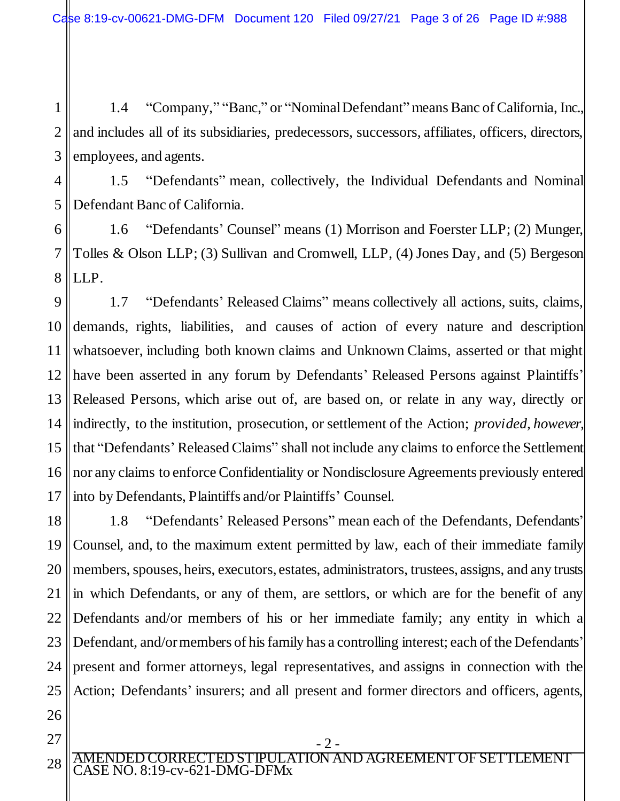1 2 3 1.4 "Company," "Banc," or "Nominal Defendant" means Banc of California, Inc., and includes all of its subsidiaries, predecessors, successors, affiliates, officers, directors, employees, and agents.

4 5

1.5 "Defendants" mean, collectively, the Individual Defendants and Nominal Defendant Banc of California.

6 7 8 1.6 "Defendants' Counsel" means (1) Morrison and Foerster LLP; (2) Munger, Tolles & Olson LLP; (3) Sullivan and Cromwell, LLP, (4) Jones Day, and (5) Bergeson LLP.

9 10 11 12 13 14 15 16 17 1.7 "Defendants' Released Claims" means collectively all actions, suits, claims, demands, rights, liabilities, and causes of action of every nature and description whatsoever, including both known claims and Unknown Claims, asserted or that might have been asserted in any forum by Defendants' Released Persons against Plaintiffs' Released Persons, which arise out of, are based on, or relate in any way, directly or indirectly, to the institution, prosecution, or settlement of the Action; *provided, however,* that "Defendants'Released Claims" shall not include any claims to enforce the Settlement nor any claims to enforce Confidentiality or Nondisclosure Agreements previously entered into by Defendants, Plaintiffs and/or Plaintiffs' Counsel.

18 19 20 21 22 23 24 25 1.8 "Defendants' Released Persons" mean each of the Defendants, Defendants' Counsel, and, to the maximum extent permitted by law, each of their immediate family members, spouses, heirs, executors, estates, administrators, trustees, assigns, and any trusts in which Defendants, or any of them, are settlors, or which are for the benefit of any Defendants and/or members of his or her immediate family; any entity in which a Defendant, and/or members of his family has a controlling interest; each of the Defendants' present and former attorneys, legal representatives, and assigns in connection with the Action; Defendants' insurers; and all present and former directors and officers, agents,

26 27

- 2 -

AMENDED CORRECTED STIPULATION AND AGREEMENT OF SETTLEMENT CASE NO. 8:19-cv-621-DMG-DFMx 28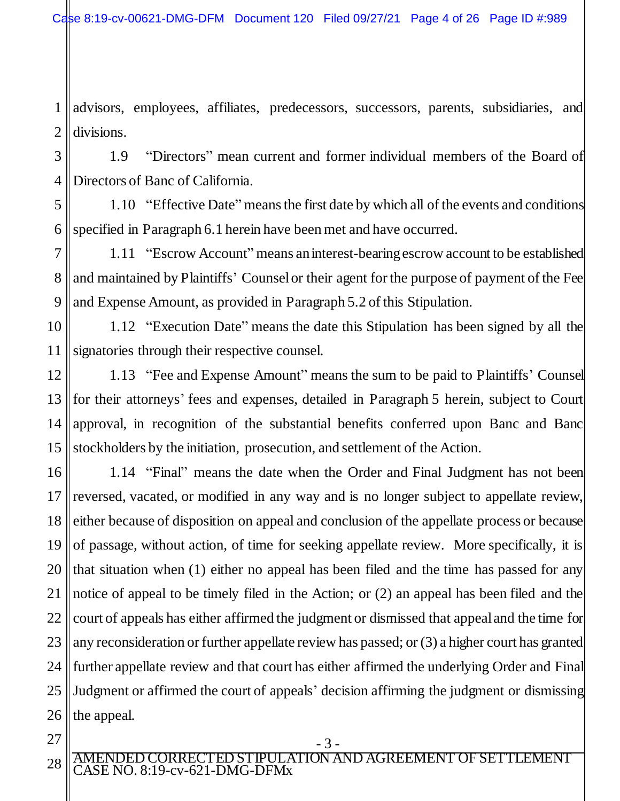1 2 advisors, employees, affiliates, predecessors, successors, parents, subsidiaries, and divisions.

3 4 1.9 "Directors" mean current and former individual members of the Board of Directors of Banc of California.

5 6 1.10 "Effective Date" means the first date by which all of the events and conditions specified in Paragraph 6.1 herein have been met and have occurred.

7 8 9 1.11 "Escrow Account" means an interest-bearing escrow account to be established and maintained by Plaintiffs' Counsel or their agent for the purpose of payment of the Fee and Expense Amount, as provided in Paragraph 5.2 of this Stipulation.

10 11 1.12 "Execution Date" means the date this Stipulation has been signed by all the signatories through their respective counsel.

12 13 14 15 1.13 "Fee and Expense Amount" means the sum to be paid to Plaintiffs' Counsel for their attorneys' fees and expenses, detailed in Paragraph 5 herein, subject to Court approval, in recognition of the substantial benefits conferred upon Banc and Banc stockholders by the initiation, prosecution, and settlement of the Action.

16 17 18 19 20 21 22 23 24 25 26 1.14 "Final" means the date when the Order and Final Judgment has not been reversed, vacated, or modified in any way and is no longer subject to appellate review, either because of disposition on appeal and conclusion of the appellate process or because of passage, without action, of time for seeking appellate review. More specifically, it is that situation when (1) either no appeal has been filed and the time has passed for any notice of appeal to be timely filed in the Action; or (2) an appeal has been filed and the court of appeals has either affirmed the judgment or dismissed that appeal and the time for any reconsideration or further appellate review has passed; or (3) a higher court has granted further appellate review and that court has either affirmed the underlying Order and Final Judgment or affirmed the court of appeals' decision affirming the judgment or dismissing the appeal.

27 28

- 3 -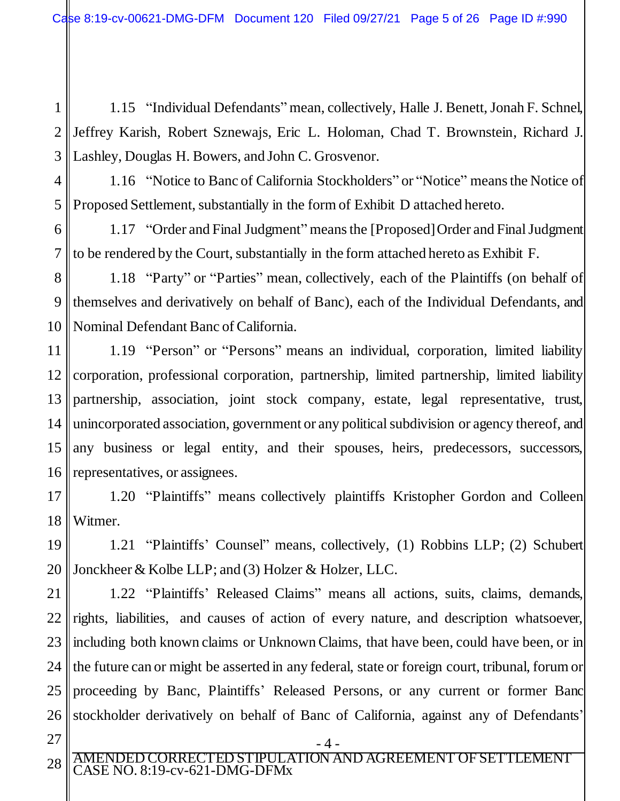1 2 3 1.15 "Individual Defendants" mean, collectively, Halle J. Benett, Jonah F. Schnel, Jeffrey Karish, Robert Sznewajs, Eric L. Holoman, Chad T. Brownstein, Richard J. Lashley, Douglas H. Bowers, and John C. Grosvenor.

4 5 1.16 "Notice to Banc of California Stockholders" or "Notice" means the Notice of Proposed Settlement, substantially in the form of Exhibit D attached hereto.

6 7 1.17 "Order and Final Judgment" means the [Proposed] Order and Final Judgment to be rendered by the Court, substantially in the form attached hereto as Exhibit F.

8 9 10 1.18 "Party" or "Parties" mean, collectively, each of the Plaintiffs (on behalf of themselves and derivatively on behalf of Banc), each of the Individual Defendants, and Nominal Defendant Banc of California.

11 12 13 14 15 16 1.19 "Person" or "Persons" means an individual, corporation, limited liability corporation, professional corporation, partnership, limited partnership, limited liability partnership, association, joint stock company, estate, legal representative, trust, unincorporated association, government or any political subdivision or agency thereof, and any business or legal entity, and their spouses, heirs, predecessors, successors, representatives, or assignees.

17 18 1.20 "Plaintiffs" means collectively plaintiffs Kristopher Gordon and Colleen Witmer.

19 20 1.21 "Plaintiffs' Counsel" means, collectively, (1) Robbins LLP; (2) Schubert Jonckheer & Kolbe LLP; and (3) Holzer & Holzer, LLC.

21 22 23 24 25 26 1.22 "Plaintiffs' Released Claims" means all actions, suits, claims, demands, rights, liabilities, and causes of action of every nature, and description whatsoever, including both known claims or Unknown Claims, that have been, could have been, or in the future can or might be asserted in any federal, state or foreign court, tribunal, forum or proceeding by Banc, Plaintiffs' Released Persons, or any current or former Banc stockholder derivatively on behalf of Banc of California, against any of Defendants'

- 27
- AMENDED CORRECTED STIPULATION AND AGREEMENT OF SETTLEMENT CASE NO. 8:19-cv-621-DMG-DFMx 28

- 4 -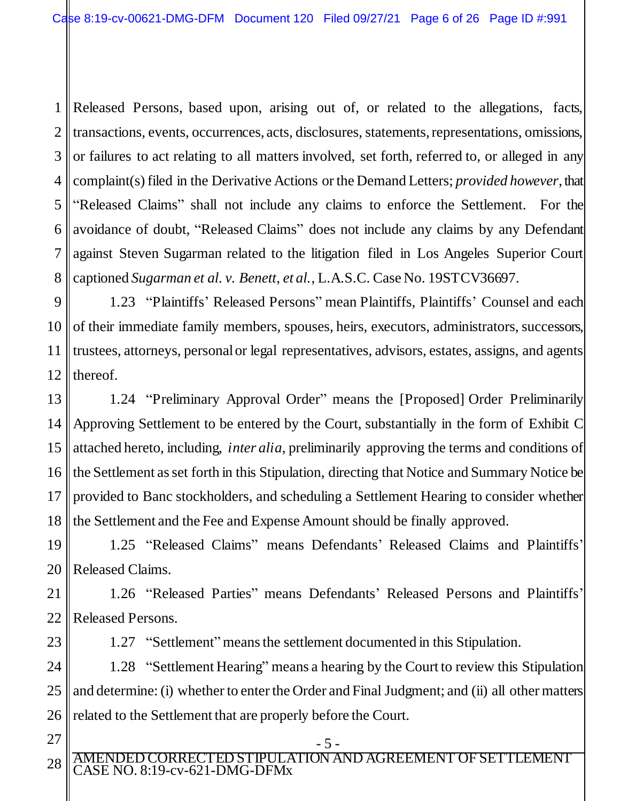1 2 3 4 5 6 7 8 Released Persons, based upon, arising out of, or related to the allegations, facts, transactions, events, occurrences, acts, disclosures, statements, representations, omissions, or failures to act relating to all matters involved, set forth, referred to, or alleged in any complaint(s) filed in the Derivative Actions or the Demand Letters; *provided however*, that "Released Claims" shall not include any claims to enforce the Settlement. For the avoidance of doubt, "Released Claims" does not include any claims by any Defendant against Steven Sugarman related to the litigation filed in Los Angeles Superior Court captioned *Sugarman et al. v. Benett, et al.*, L.A.S.C. Case No. 19STCV36697.

9 10 11 12 1.23 "Plaintiffs' Released Persons" mean Plaintiffs, Plaintiffs' Counsel and each of their immediate family members, spouses, heirs, executors, administrators, successors, trustees, attorneys, personal or legal representatives, advisors, estates, assigns, and agents thereof.

13 14 15 16 17 18 1.24 "Preliminary Approval Order" means the [Proposed] Order Preliminarily Approving Settlement to be entered by the Court, substantially in the form of Exhibit C attached hereto, including, *inter alia*, preliminarily approving the terms and conditions of the Settlement as set forth in this Stipulation, directing that Notice and Summary Notice be provided to Banc stockholders, and scheduling a Settlement Hearing to consider whether the Settlement and the Fee and Expense Amount should be finally approved.

19 20 1.25 "Released Claims" means Defendants' Released Claims and Plaintiffs' Released Claims.

21 22 1.26 "Released Parties" means Defendants' Released Persons and Plaintiffs' Released Persons.

23

1.27 "Settlement" means the settlement documented in this Stipulation.

24 25 26 1.28 "Settlement Hearing" means a hearing by the Court to review this Stipulation and determine: (i) whether to enter the Order and Final Judgment; and (ii) all other matters related to the Settlement that are properly before the Court.

27 28

AMENDED CORRECTED STIPULATION AND AGREEMENT OF SETTLEMENT CASE NO. 8:19-cv-621-DMG-DFMx

- 5 -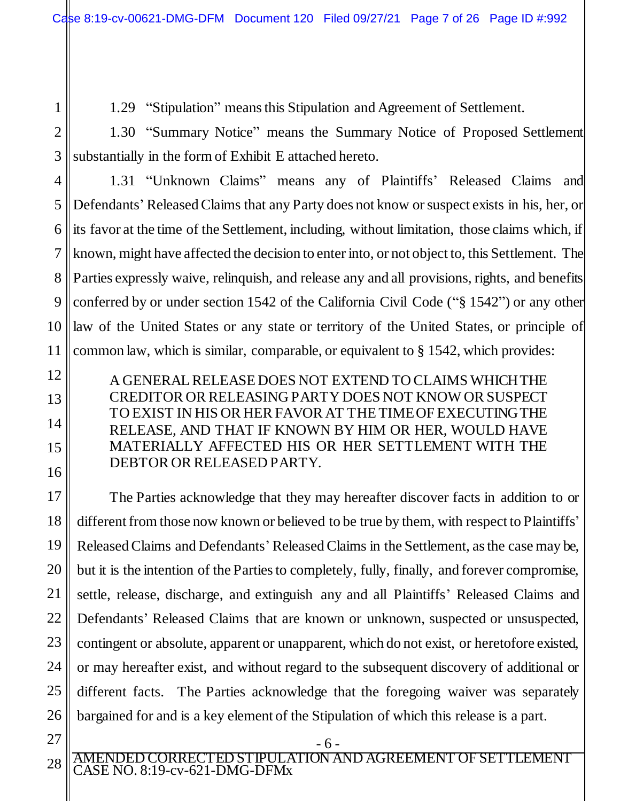1.29 "Stipulation" means this Stipulation and Agreement of Settlement.

2 3 1.30 "Summary Notice" means the Summary Notice of Proposed Settlement substantially in the form of Exhibit E attached hereto.

4

5

6

7

8

9

10

11

12

13

14

15

16

1

1.31 "Unknown Claims" means any of Plaintiffs' Released Claims and Defendants' Released Claims that any Party does not know or suspect exists in his, her, or its favor at the time of the Settlement, including, without limitation, those claims which, if known, might have affected the decision to enter into, or not object to, this Settlement. The Parties expressly waive, relinquish, and release any and all provisions, rights, and benefits conferred by or under section 1542 of the California Civil Code ("§ 1542") or any other law of the United States or any state or territory of the United States, or principle of common law, which is similar, comparable, or equivalent to § 1542, which provides:

A GENERAL RELEASE DOES NOT EXTEND TO CLAIMS WHICH THE CREDITOR OR RELEASING PARTY DOES NOT KNOW OR SUSPECT TO EXIST IN HIS OR HER FAVOR AT THE TIME OF EXECUTING THE RELEASE, AND THAT IF KNOWN BY HIM OR HER, WOULD HAVE MATERIALLY AFFECTED HIS OR HER SETTLEMENT WITH THE DEBTOR OR RELEASED PARTY.

17 18 19 20 21 22 23 24 25 26 The Parties acknowledge that they may hereafter discover facts in addition to or different from those now known or believed to be true by them, with respect to Plaintiffs' Released Claims and Defendants'Released Claims in the Settlement, as the case may be, but it is the intention of the Parties to completely, fully, finally, and forever compromise, settle, release, discharge, and extinguish any and all Plaintiffs' Released Claims and Defendants' Released Claims that are known or unknown, suspected or unsuspected, contingent or absolute, apparent or unapparent, which do not exist, or heretofore existed, or may hereafter exist, and without regard to the subsequent discovery of additional or different facts. The Parties acknowledge that the foregoing waiver was separately bargained for and is a key element of the Stipulation of which this release is a part.

27 28

AMENDED CORRECTED STIPULATION AND AGREEMENT OF SETTLEMENT CASE NO. 8:19-cv-621-DMG-DFMx

- 6 -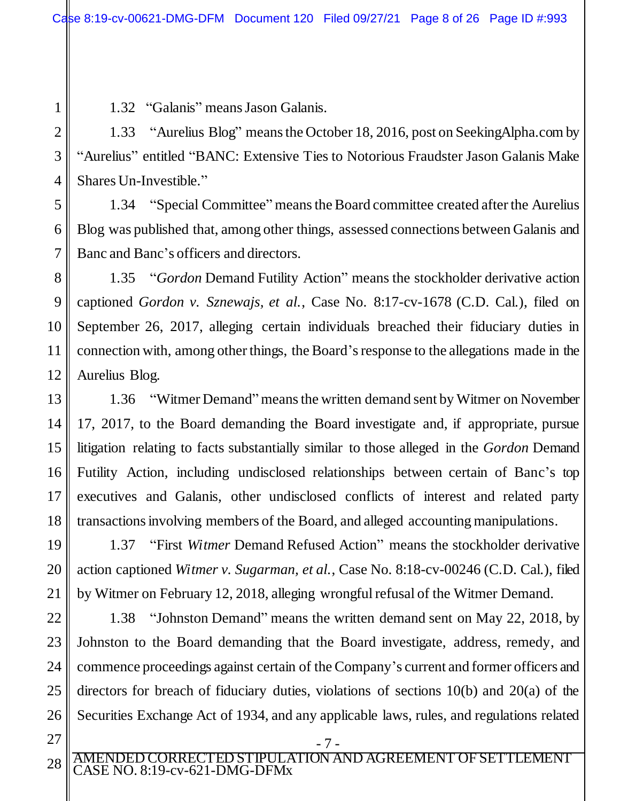1.32 "Galanis" means Jason Galanis.

1.33 "Aurelius Blog" means the October 18, 2016, post on SeekingAlpha.com by "Aurelius" entitled "BANC: Extensive Ties to Notorious Fraudster Jason Galanis Make Shares Un-Investible."

1.34 "Special Committee" means the Board committee created after the Aurelius Blog was published that, among other things, assessed connections between Galanis and Banc and Banc's officers and directors.

1.35 "*Gordon* Demand Futility Action" means the stockholder derivative action captioned *Gordon v. Sznewajs, et al.*, Case No. 8:17-cv-1678 (C.D. Cal.), filed on September 26, 2017, alleging certain individuals breached their fiduciary duties in connection with, among other things, the Board's response to the allegations made in the Aurelius Blog.

1.36 "Witmer Demand" means the written demand sent by Witmer on November 17, 2017, to the Board demanding the Board investigate and, if appropriate, pursue litigation relating to facts substantially similar to those alleged in the *Gordon* Demand Futility Action, including undisclosed relationships between certain of Banc's top executives and Galanis, other undisclosed conflicts of interest and related party transactions involving members of the Board, and alleged accounting manipulations.

1.37 "First *Witmer* Demand Refused Action" means the stockholder derivative action captioned *Witmer v. Sugarman, et al.*, Case No. 8:18-cv-00246 (C.D. Cal.), filed by Witmer on February 12, 2018, alleging wrongful refusal of the Witmer Demand.

22 23 24 25 26 1.38 "Johnston Demand" means the written demand sent on May 22, 2018, by Johnston to the Board demanding that the Board investigate, address, remedy, and commence proceedings against certain of the Company's current and former officers and directors for breach of fiduciary duties, violations of sections 10(b) and 20(a) of the Securities Exchange Act of 1934, and any applicable laws, rules, and regulations related

27 28

1

2

3

4

5

6

7

8

9

10

11

12

13

14

15

16

17

18

19

20

21

AMENDED CORRECTED STIPULATION AND AGREEMENT OF SETTLEMENT CASE NO. 8:19-cv-621-DMG-DFMx

- 7 -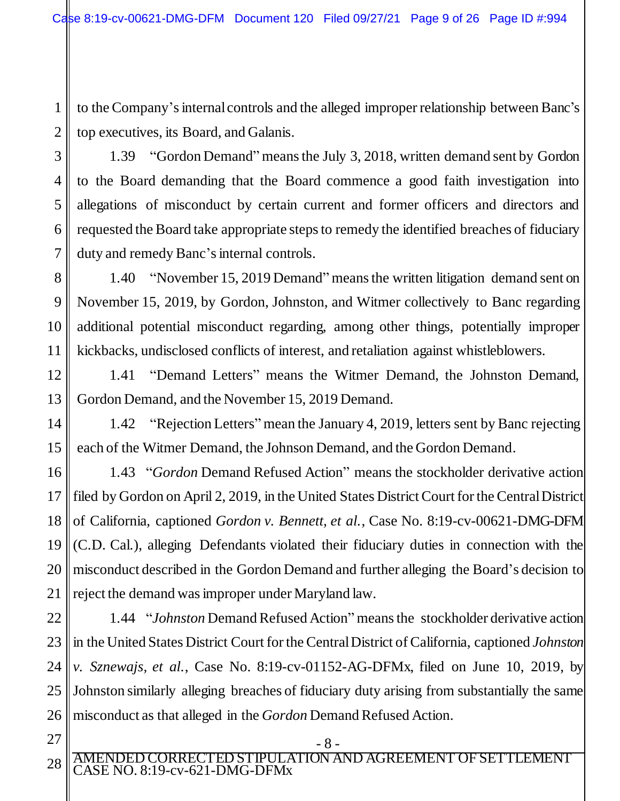to the Company's internal controls and the alleged improper relationship between Banc's top executives, its Board, and Galanis.

1

1.39 "Gordon Demand" means the July 3, 2018, written demand sent by Gordon to the Board demanding that the Board commence a good faith investigation into allegations of misconduct by certain current and former officers and directors and requested the Board take appropriate steps to remedy the identified breaches of fiduciary duty and remedy Banc's internal controls.

1.40 "November 15, 2019 Demand" means the written litigation demand sent on November 15, 2019, by Gordon, Johnston, and Witmer collectively to Banc regarding additional potential misconduct regarding, among other things, potentially improper kickbacks, undisclosed conflicts of interest, and retaliation against whistleblowers.

1.41 "Demand Letters" means the Witmer Demand, the Johnston Demand, Gordon Demand, and the November 15, 2019 Demand.

1.42 "Rejection Letters" mean the January 4, 2019, letters sent by Banc rejecting each of the Witmer Demand, the Johnson Demand, and the Gordon Demand.

1.43 "*Gordon* Demand Refused Action" means the stockholder derivative action filed by Gordon on April 2, 2019, in the United States District Court for the Central District of California, captioned *Gordon v. Bennett, et al.*, Case No. 8:19-cv-00621-DMG-DFM (C.D. Cal.), alleging Defendants violated their fiduciary duties in connection with the misconduct described in the Gordon Demand and further alleging the Board's decision to reject the demand was improper under Maryland law.

1.44 "*Johnston* Demand Refused Action" means the stockholder derivative action in the United States District Court for the Central District of California, captioned *Johnston v. Sznewajs, et al.*, Case No. 8:19-cv-01152-AG-DFMx, filed on June 10, 2019, by Johnston similarly alleging breaches of fiduciary duty arising from substantially the same misconduct as that alleged in the *Gordon* Demand Refused Action.

28

AMENDED CORRECTED STIPULATION AND AGREEMENT OF SETTLEMENT CASE NO. 8:19-cv-621-DMG-DFMx

- 8 -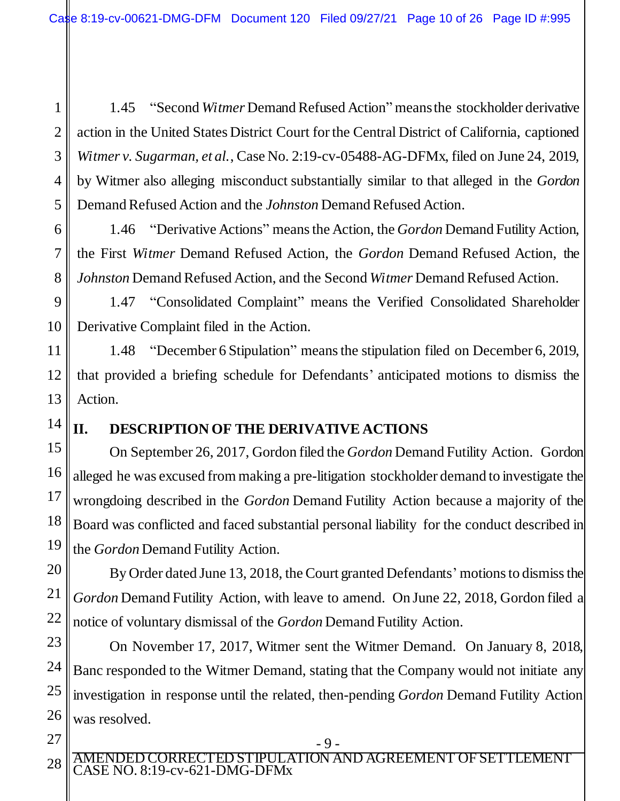1 2 3 4 5 1.45 "Second *Witmer* Demand Refused Action" means the stockholder derivative action in the United States District Court for the Central District of California, captioned *Witmer v. Sugarman, et al.*, Case No. 2:19-cv-05488-AG-DFMx, filed on June 24, 2019, by Witmer also alleging misconduct substantially similar to that alleged in the *Gordon* Demand Refused Action and the *Johnston* Demand Refused Action.

1.46 "Derivative Actions" means the Action, the *Gordon* Demand Futility Action, the First *Witmer* Demand Refused Action, the *Gordon* Demand Refused Action, the *Johnston* Demand Refused Action, and the Second *Witmer* Demand Refused Action.

9 10 1.47 "Consolidated Complaint" means the Verified Consolidated Shareholder Derivative Complaint filed in the Action.

11 12 13 1.48 "December 6 Stipulation" means the stipulation filed on December 6, 2019, that provided a briefing schedule for Defendants' anticipated motions to dismiss the Action.

14

6

7

8

## **II. DESCRIPTION OF THE DERIVATIVE ACTIONS**

15 16 17 18 19 On September 26, 2017, Gordon filed the *Gordon* Demand Futility Action. Gordon alleged he was excused from making a pre-litigation stockholder demand to investigate the wrongdoing described in the *Gordon* Demand Futility Action because a majority of the Board was conflicted and faced substantial personal liability for the conduct described in the *Gordon* Demand Futility Action.

20 21 22 By Order dated June 13, 2018, the Court granted Defendants' motions to dismiss the *Gordon* Demand Futility Action, with leave to amend. On June 22, 2018, Gordon filed a notice of voluntary dismissal of the *Gordon* Demand Futility Action.

On November 17, 2017, Witmer sent the Witmer Demand. On January 8, 2018, Banc responded to the Witmer Demand, stating that the Company would not initiate any investigation in response until the related, then-pending *Gordon* Demand Futility Action was resolved.

23

24

25

26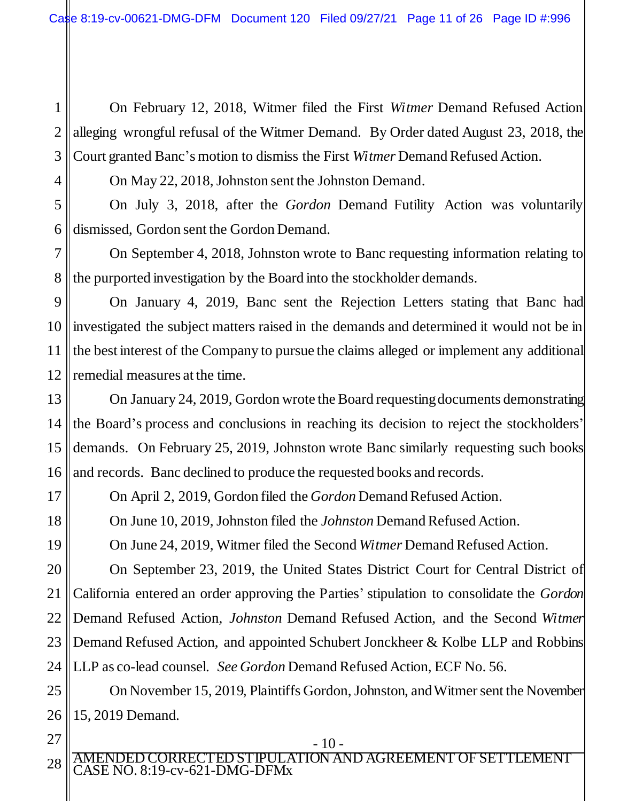1 2 3 On February 12, 2018, Witmer filed the First *Witmer* Demand Refused Action alleging wrongful refusal of the Witmer Demand. By Order dated August 23, 2018, the Court granted Banc's motion to dismiss the First *Witmer* Demand Refused Action.

On May 22, 2018, Johnston sent the Johnston Demand.

5 6 On July 3, 2018, after the *Gordon* Demand Futility Action was voluntarily dismissed, Gordon sent the Gordon Demand.

7 8 On September 4, 2018, Johnston wrote to Banc requesting information relating to the purported investigation by the Board into the stockholder demands.

9 10 11 12 On January 4, 2019, Banc sent the Rejection Letters stating that Banc had investigated the subject matters raised in the demands and determined it would not be in the best interest of the Company to pursue the claims alleged or implement any additional remedial measures at the time.

13 14 15 16 On January 24, 2019, Gordon wrote the Board requesting documents demonstrating the Board's process and conclusions in reaching its decision to reject the stockholders' demands. On February 25, 2019, Johnston wrote Banc similarly requesting such books and records. Banc declined to produce the requested books and records.

On April 2, 2019, Gordon filed the *Gordon* Demand Refused Action.

On June 10, 2019, Johnston filed the *Johnston* Demand Refused Action.

On June 24, 2019, Witmer filed the Second *Witmer* Demand Refused Action.

20 21 22 23 24 On September 23, 2019, the United States District Court for Central District of California entered an order approving the Parties' stipulation to consolidate the *Gordon*  Demand Refused Action*, Johnston* Demand Refused Action, and the Second *Witmer*  Demand Refused Action, and appointed Schubert Jonckheer & Kolbe LLP and Robbins LLP as co-lead counsel. *See Gordon* Demand Refused Action, ECF No. 56.

25 26 On November 15, 2019, Plaintiffs Gordon, Johnston, and Witmer sent the November 15, 2019 Demand.

27 28

17

18

19

4

AMENDED CORRECTED STIPULATION AND AGREEMENT OF SETTLEMENT CASE NO. 8:19-cv-621-DMG-DFMx

- 10 -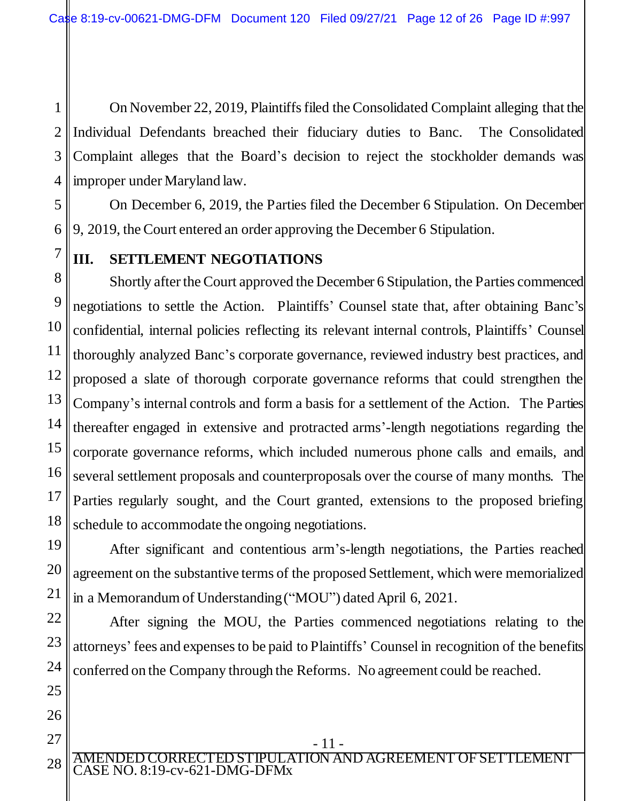1 2 3 4 On November 22, 2019, Plaintiffsfiled the Consolidated Complaint alleging that the Individual Defendants breached their fiduciary duties to Banc. The Consolidated Complaint alleges that the Board's decision to reject the stockholder demands was improper under Maryland law.

5 6 On December 6, 2019, the Parties filed the December 6 Stipulation. On December 9, 2019, the Court entered an order approving the December 6 Stipulation.

7

19

20

21

22

23

24

25

26

27

### **III. SETTLEMENT NEGOTIATIONS**

8 9 10 11 12 13 14 15 16 17 18 Shortly after the Court approved the December 6 Stipulation, the Parties commenced negotiations to settle the Action. Plaintiffs' Counsel state that, after obtaining Banc's confidential, internal policies reflecting its relevant internal controls, Plaintiffs' Counsel thoroughly analyzed Banc's corporate governance, reviewed industry best practices, and proposed a slate of thorough corporate governance reforms that could strengthen the Company's internal controls and form a basis for a settlement of the Action. The Parties thereafter engaged in extensive and protracted arms'-length negotiations regarding the corporate governance reforms, which included numerous phone calls and emails, and several settlement proposals and counterproposals over the course of many months. The Parties regularly sought, and the Court granted, extensions to the proposed briefing schedule to accommodate the ongoing negotiations.

After significant and contentious arm's-length negotiations, the Parties reached agreement on the substantive terms of the proposed Settlement, which were memorialized in a Memorandum of Understanding ("MOU") dated April 6, 2021.

After signing the MOU, the Parties commenced negotiations relating to the attorneys' fees and expensesto be paid to Plaintiffs' Counsel in recognition of the benefits conferred on the Company through the Reforms. No agreement could be reached.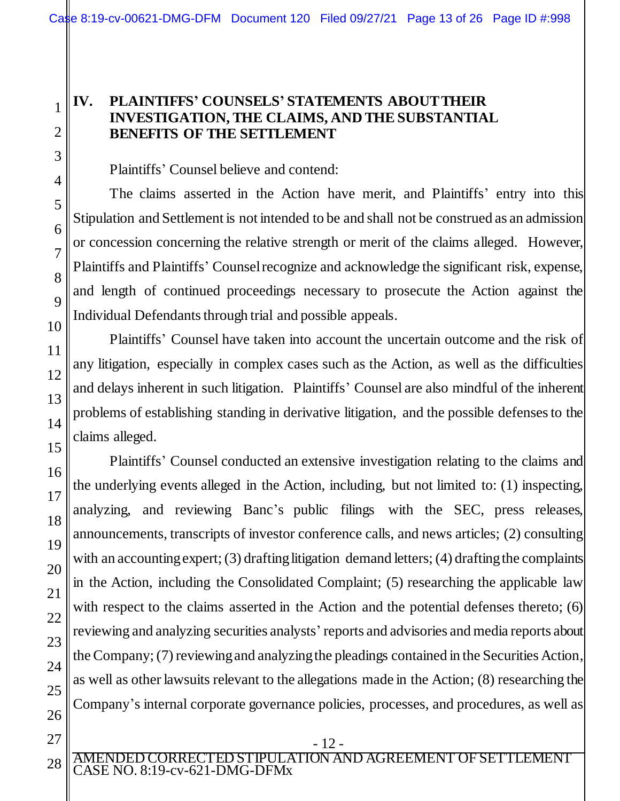### **IV. PLAINTIFFS' COUNSELS' STATEMENTS ABOUT THEIR INVESTIGATION, THE CLAIMS, AND THE SUBSTANTIAL BENEFITS OF THE SETTLEMENT**

Plaintiffs' Counsel believe and contend:

The claims asserted in the Action have merit, and Plaintiffs' entry into this Stipulation and Settlement is not intended to be and shall not be construed as an admission or concession concerning the relative strength or merit of the claims alleged. However, Plaintiffs and Plaintiffs' Counsel recognize and acknowledge the significant risk, expense, and length of continued proceedings necessary to prosecute the Action against the Individual Defendants through trial and possible appeals.

Plaintiffs' Counsel have taken into account the uncertain outcome and the risk of any litigation, especially in complex cases such as the Action, as well as the difficulties and delays inherent in such litigation. Plaintiffs' Counsel are also mindful of the inherent problems of establishing standing in derivative litigation, and the possible defenses to the claims alleged.

Plaintiffs' Counsel conducted an extensive investigation relating to the claims and the underlying events alleged in the Action, including, but not limited to: (1) inspecting, analyzing, and reviewing Banc's public filings with the SEC, press releases, announcements, transcripts of investor conference calls, and news articles; (2) consulting with an accounting expert; (3) drafting litigation demand letters; (4) drafting the complaints in the Action, including the Consolidated Complaint; (5) researching the applicable law with respect to the claims asserted in the Action and the potential defenses thereto; (6) reviewing and analyzing securities analysts' reports and advisories and media reports about the Company; (7) reviewing and analyzing the pleadings contained in the Securities Action, as well as other lawsuits relevant to the allegations made in the Action; (8) researching the Company's internal corporate governance policies, processes, and procedures, as well as

- 12 -

AMENDED CORRECTED STIPULATION AND AGREEMENT OF SETTLEMENT CASE NO. 8:19-cv-621-DMG-DFMx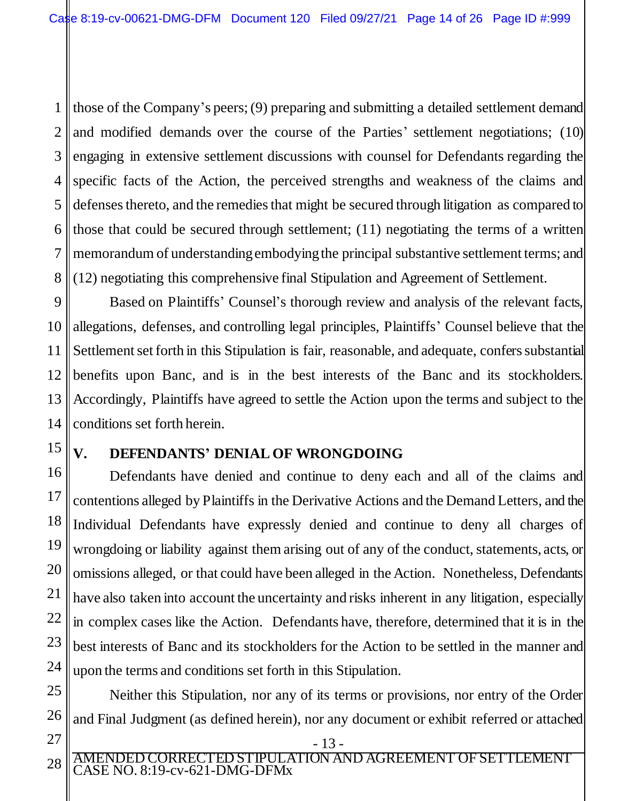1 2 3 4 5 6 7 8 those of the Company's peers; (9) preparing and submitting a detailed settlement demand and modified demands over the course of the Parties' settlement negotiations; (10) engaging in extensive settlement discussions with counsel for Defendants regarding the specific facts of the Action, the perceived strengths and weakness of the claims and defenses thereto, and the remedies that might be secured through litigation as compared to those that could be secured through settlement; (11) negotiating the terms of a written memorandum of understanding embodying the principal substantive settlement terms; and (12) negotiating this comprehensive final Stipulation and Agreement of Settlement.

9 10 11 12 13 14 Based on Plaintiffs' Counsel's thorough review and analysis of the relevant facts, allegations, defenses, and controlling legal principles, Plaintiffs' Counsel believe that the Settlement set forth in this Stipulation is fair, reasonable, and adequate, confers substantial benefits upon Banc, and is in the best interests of the Banc and its stockholders. Accordingly, Plaintiffs have agreed to settle the Action upon the terms and subject to the conditions set forth herein.

# 15

25

26

27

## **V. DEFENDANTS' DENIAL OF WRONGDOING**

16 17 18 19 20 21 22 23 24 Defendants have denied and continue to deny each and all of the claims and contentions alleged by Plaintiffs in the Derivative Actions and the Demand Letters, and the Individual Defendants have expressly denied and continue to deny all charges of wrongdoing or liability against them arising out of any of the conduct, statements, acts, or omissions alleged, or that could have been alleged in the Action. Nonetheless, Defendants have also taken into account the uncertainty and risks inherent in any litigation, especially in complex cases like the Action. Defendants have, therefore, determined that it is in the best interests of Banc and its stockholders for the Action to be settled in the manner and upon the terms and conditions set forth in this Stipulation.

Neither this Stipulation, nor any of its terms or provisions, nor entry of the Order and Final Judgment (as defined herein), nor any document or exhibit referred or attached

AMENDED CORRECTED STIPULATION AND AGREEMENT OF SETTLEMENT CASE NO. 8:19-cv-621-DMG-DFMx 28

<sup>-</sup> 13 -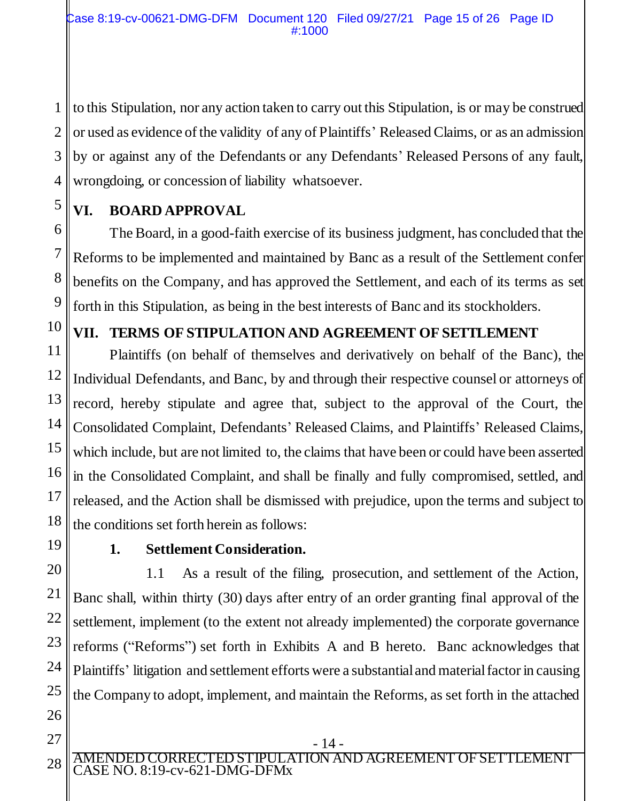1 2 3 4 to this Stipulation, nor any action taken to carry out this Stipulation, is or may be construed or used as evidence of the validity of any of Plaintiffs' Released Claims, or as an admission by or against any of the Defendants or any Defendants' Released Persons of any fault, wrongdoing, or concession of liability whatsoever.

# **VI. BOARD APPROVAL**

6 7 8 9 The Board, in a good-faith exercise of its business judgment, has concluded that the Reforms to be implemented and maintained by Banc as a result of the Settlement confer benefits on the Company, and has approved the Settlement, and each of its terms as set forth in this Stipulation, as being in the best interests of Banc and its stockholders.

## **VII. TERMS OF STIPULATION AND AGREEMENT OF SETTLEMENT**

11 12 13 14 15 16 17 18 Plaintiffs (on behalf of themselves and derivatively on behalf of the Banc), the Individual Defendants, and Banc, by and through their respective counsel or attorneys of record, hereby stipulate and agree that, subject to the approval of the Court, the Consolidated Complaint, Defendants' Released Claims, and Plaintiffs' Released Claims, which include, but are not limited to, the claims that have been or could have been asserted in the Consolidated Complaint, and shall be finally and fully compromised, settled, and released, and the Action shall be dismissed with prejudice, upon the terms and subject to the conditions set forth herein as follows:

19

5

10

## **1. Settlement Consideration.**

20 21 22 23 24 25 26 1.1 As a result of the filing, prosecution, and settlement of the Action, Banc shall, within thirty (30) days after entry of an order granting final approval of the settlement, implement (to the extent not already implemented) the corporate governance reforms ("Reforms") set forth in Exhibits A and B hereto. Banc acknowledges that Plaintiffs' litigation and settlement efforts were a substantial and material factor in causing the Company to adopt, implement, and maintain the Reforms, as set forth in the attached

- 14 -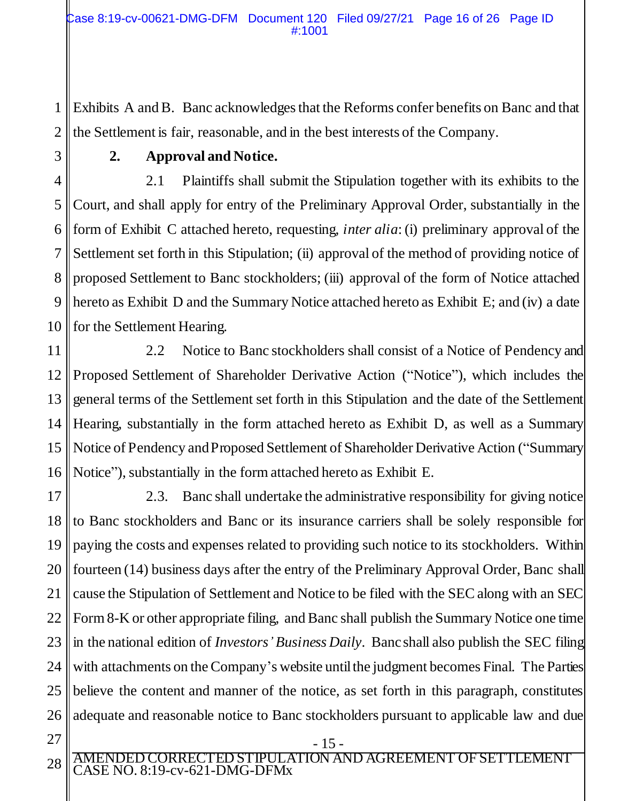1 2 Exhibits A and B. Banc acknowledges that the Reforms confer benefits on Banc and that the Settlement is fair, reasonable, and in the best interests of the Company.

3 4

### **2. Approval and Notice.**

5 6 7 8 9 10 2.1 Plaintiffs shall submit the Stipulation together with its exhibits to the Court, and shall apply for entry of the Preliminary Approval Order, substantially in the form of Exhibit C attached hereto, requesting, *inter alia*: (i) preliminary approval of the Settlement set forth in this Stipulation; (ii) approval of the method of providing notice of proposed Settlement to Banc stockholders; (iii) approval of the form of Notice attached hereto as Exhibit D and the Summary Notice attached hereto as Exhibit E; and (iv) a date for the Settlement Hearing.

11 12 13 14 15 16 2.2 Notice to Banc stockholders shall consist of a Notice of Pendency and Proposed Settlement of Shareholder Derivative Action ("Notice"), which includes the general terms of the Settlement set forth in this Stipulation and the date of the Settlement Hearing, substantially in the form attached hereto as Exhibit D, as well as a Summary Notice of Pendency and Proposed Settlement of Shareholder Derivative Action ("Summary Notice"), substantially in the form attached hereto as Exhibit E.

17 18 19 20 21 22 23 24 25 26 2.3. Banc shall undertake the administrative responsibility for giving notice to Banc stockholders and Banc or its insurance carriers shall be solely responsible for paying the costs and expenses related to providing such notice to its stockholders. Within fourteen (14) business days after the entry of the Preliminary Approval Order, Banc shall cause the Stipulation of Settlement and Notice to be filed with the SEC along with an SEC Form 8-K or other appropriate filing, and Banc shall publish the Summary Notice one time in the national edition of *Investors' Business Daily*. Banc shall also publish the SEC filing with attachments on the Company's website until the judgment becomes Final. The Parties believe the content and manner of the notice, as set forth in this paragraph, constitutes adequate and reasonable notice to Banc stockholders pursuant to applicable law and due

27 28

AMENDED CORRECTED STIPULATION AND AGREEMENT OF SETTLEMENT CASE NO. 8:19-cv-621-DMG-DFMx

- 15 -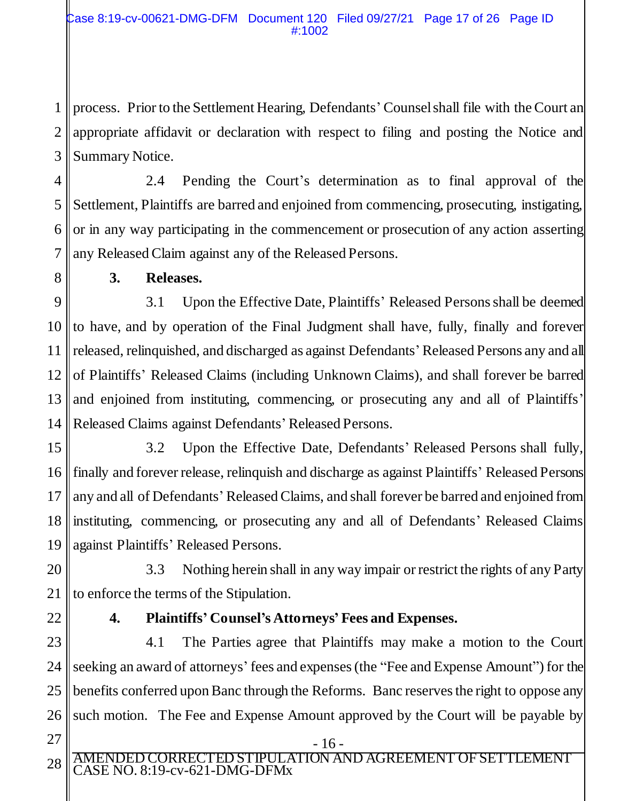1 2 3 process. Prior to the Settlement Hearing, Defendants' Counsel shall file with the Court an appropriate affidavit or declaration with respect to filing and posting the Notice and Summary Notice.

4 5 6 7 2.4 Pending the Court's determination as to final approval of the Settlement, Plaintiffs are barred and enjoined from commencing, prosecuting, instigating, or in any way participating in the commencement or prosecution of any action asserting any Released Claim against any of the Released Persons.

8

#### **3. Releases.**

9 10 11 12 13 14 3.1 Upon the Effective Date, Plaintiffs' Released Persons shall be deemed to have, and by operation of the Final Judgment shall have, fully, finally and forever released, relinquished, and discharged as against Defendants' Released Persons any and all of Plaintiffs' Released Claims (including Unknown Claims), and shall forever be barred and enjoined from instituting, commencing, or prosecuting any and all of Plaintiffs' Released Claims against Defendants' Released Persons.

15 16 17 18 19 3.2 Upon the Effective Date, Defendants' Released Persons shall fully, finally and forever release, relinquish and discharge as against Plaintiffs' Released Persons any and all of Defendants' Released Claims, and shall forever be barred and enjoined from instituting, commencing, or prosecuting any and all of Defendants' Released Claims against Plaintiffs' Released Persons.

20 21 3.3 Nothing herein shall in any way impair or restrict the rights of any Party to enforce the terms of the Stipulation.

22

# **4. Plaintiffs' Counsel's Attorneys' Fees and Expenses.**

23 24 25 26 4.1 The Parties agree that Plaintiffs may make a motion to the Court seeking an award of attorneys' fees and expenses (the "Fee and Expense Amount") for the benefits conferred upon Banc through the Reforms. Banc reserves the right to oppose any such motion. The Fee and Expense Amount approved by the Court will be payable by

- 27
- AMENDED CORRECTED STIPULATION AND AGREEMENT OF SETTLEMENT CASE NO. 8:19-cv-621-DMG-DFMx 28

- 16 -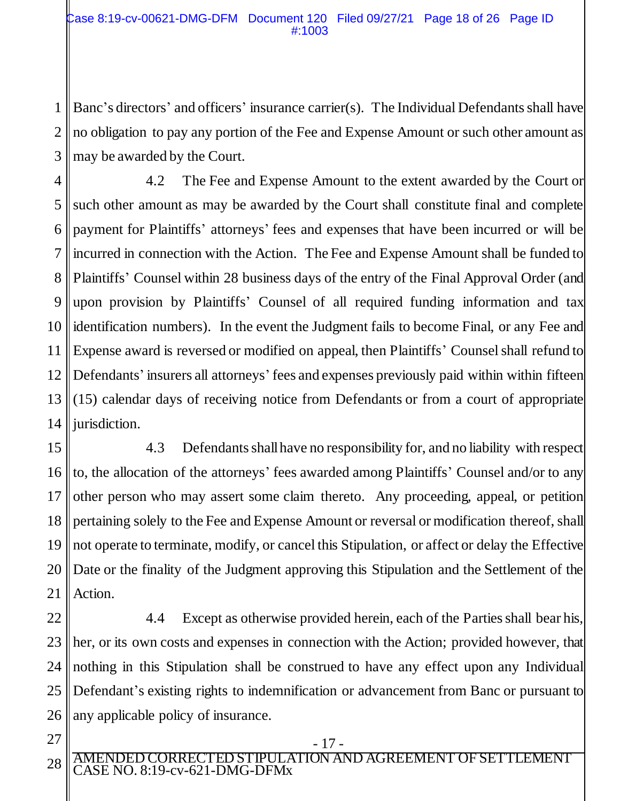1 2 3 Banc's directors' and officers' insurance carrier(s). The Individual Defendants shall have no obligation to pay any portion of the Fee and Expense Amount or such other amount as may be awarded by the Court.

4 5 6 7 8 9 10 11 12 13 14 4.2 The Fee and Expense Amount to the extent awarded by the Court or such other amount as may be awarded by the Court shall constitute final and complete payment for Plaintiffs' attorneys' fees and expenses that have been incurred or will be incurred in connection with the Action. The Fee and Expense Amount shall be funded to Plaintiffs' Counsel within 28 business days of the entry of the Final Approval Order (and upon provision by Plaintiffs' Counsel of all required funding information and tax identification numbers). In the event the Judgment fails to become Final, or any Fee and Expense award is reversed or modified on appeal, then Plaintiffs' Counsel shall refund to Defendants' insurers all attorneys' fees and expenses previously paid within within fifteen (15) calendar days of receiving notice from Defendants or from a court of appropriate jurisdiction.

15 16 17 18 19 20 21 4.3 Defendants shall have no responsibility for, and no liability with respect to, the allocation of the attorneys' fees awarded among Plaintiffs' Counsel and/or to any other person who may assert some claim thereto. Any proceeding, appeal, or petition pertaining solely to the Fee and Expense Amount or reversal or modification thereof, shall not operate to terminate, modify, or cancel this Stipulation, or affect or delay the Effective Date or the finality of the Judgment approving this Stipulation and the Settlement of the Action.

22 23 24 25 26 4.4 Except as otherwise provided herein, each of the Parties shall bear his, her, or its own costs and expenses in connection with the Action; provided however, that nothing in this Stipulation shall be construed to have any effect upon any Individual Defendant's existing rights to indemnification or advancement from Banc or pursuant to any applicable policy of insurance.

27

AMENDED CORRECTED STIPULATION AND AGREEMENT OF SETTLEMENT CASE NO. 8:19-cv-621-DMG-DFMx 28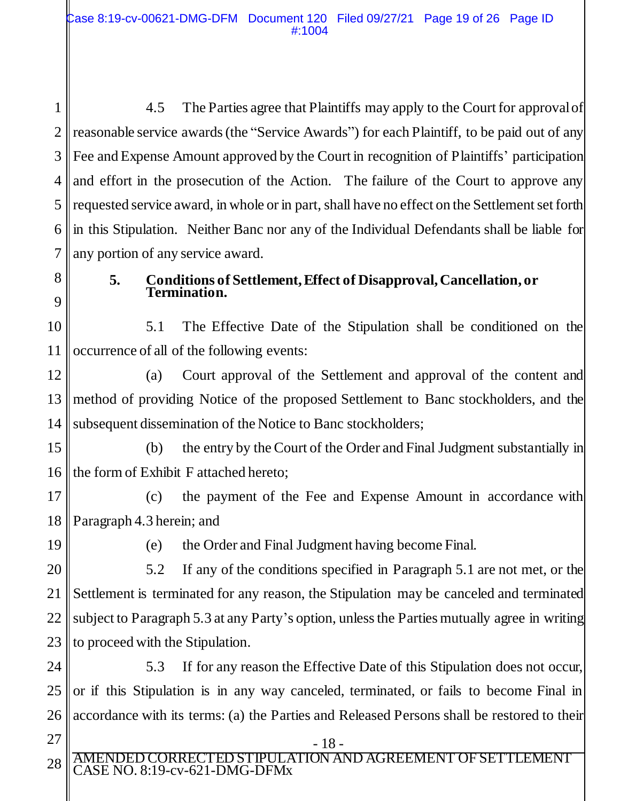1 2 3 4 5 6 7 4.5 The Parties agree that Plaintiffs may apply to the Court for approval of reasonable service awards (the "Service Awards") for each Plaintiff, to be paid out of any Fee and Expense Amount approved by the Court in recognition of Plaintiffs' participation and effort in the prosecution of the Action. The failure of the Court to approve any requested service award, in whole or in part, shall have no effect on the Settlement set forth in this Stipulation. Neither Banc nor any of the Individual Defendants shall be liable for any portion of any service award.

8 9

#### **5. Conditions of Settlement, Effect of Disapproval, Cancellation, or Termination.**

10 11 5.1 The Effective Date of the Stipulation shall be conditioned on the occurrence of all of the following events:

12 13 14 (a) Court approval of the Settlement and approval of the content and method of providing Notice of the proposed Settlement to Banc stockholders, and the subsequent dissemination of the Notice to Banc stockholders;

15 16 (b) the entry by the Court of the Order and Final Judgment substantially in the form of Exhibit F attached hereto;

17 18 (c) the payment of the Fee and Expense Amount in accordance with Paragraph 4.3 herein; and

19

(e) the Order and Final Judgment having become Final.

20 21 22 23 5.2 If any of the conditions specified in Paragraph 5.1 are not met, or the Settlement is terminated for any reason, the Stipulation may be canceled and terminated subject to Paragraph 5.3 at any Party's option, unless the Parties mutually agree in writing to proceed with the Stipulation.

24 25 26 5.3 If for any reason the Effective Date of this Stipulation does not occur, or if this Stipulation is in any way canceled, terminated, or fails to become Final in accordance with its terms: (a) the Parties and Released Persons shall be restored to their

27

AMENDED CORRECTED STIPULATION AND AGREEMENT OF SETTLEMENT CASE NO. 8:19-cv-621-DMG-DFMx 28

- 18 -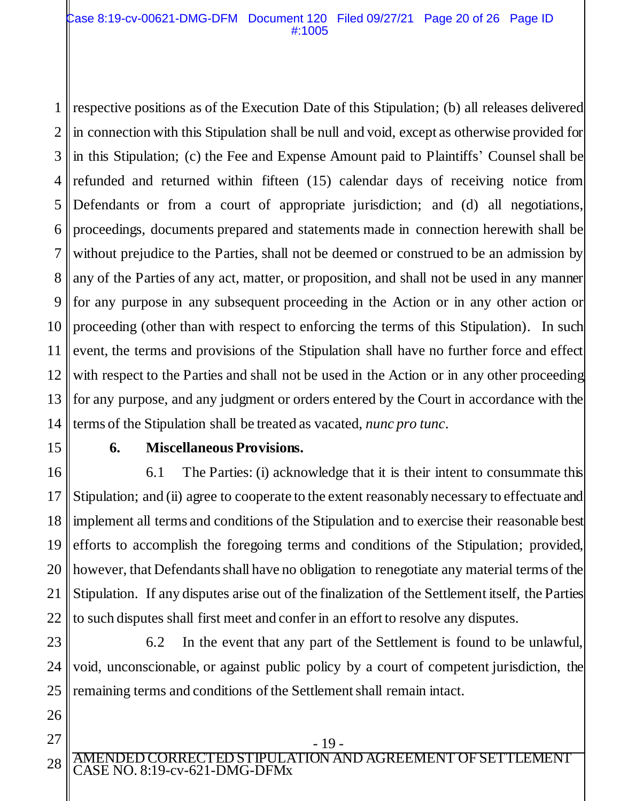1 2 3 4 5 6 7 8 9 10 11 12 13 14 respective positions as of the Execution Date of this Stipulation; (b) all releases delivered in connection with this Stipulation shall be null and void, except as otherwise provided for in this Stipulation; (c) the Fee and Expense Amount paid to Plaintiffs' Counsel shall be refunded and returned within fifteen (15) calendar days of receiving notice from Defendants or from a court of appropriate jurisdiction; and (d) all negotiations, proceedings, documents prepared and statements made in connection herewith shall be without prejudice to the Parties, shall not be deemed or construed to be an admission by any of the Parties of any act, matter, or proposition, and shall not be used in any manner for any purpose in any subsequent proceeding in the Action or in any other action or proceeding (other than with respect to enforcing the terms of this Stipulation). In such event, the terms and provisions of the Stipulation shall have no further force and effect with respect to the Parties and shall not be used in the Action or in any other proceeding for any purpose, and any judgment or orders entered by the Court in accordance with the terms of the Stipulation shall be treated as vacated, *nunc pro tunc*.

15

26

27

#### **6. Miscellaneous Provisions.**

16 17 18 19 20 21 22 6.1 The Parties: (i) acknowledge that it is their intent to consummate this Stipulation; and (ii) agree to cooperate to the extent reasonably necessary to effectuate and implement all terms and conditions of the Stipulation and to exercise their reasonable best efforts to accomplish the foregoing terms and conditions of the Stipulation; provided, however, that Defendants shall have no obligation to renegotiate any material terms of the Stipulation. If any disputes arise out of the finalization of the Settlement itself, the Parties to such disputes shall first meet and confer in an effort to resolve any disputes.

23 24 25 6.2 In the event that any part of the Settlement is found to be unlawful, void, unconscionable, or against public policy by a court of competent jurisdiction, the remaining terms and conditions of the Settlement shall remain intact.

TED STIPUL ATION AND AGREEMENT OF SETTLEMENT CASE NO. 8:19-cv-621-DMG-DFMx 28

- 19 -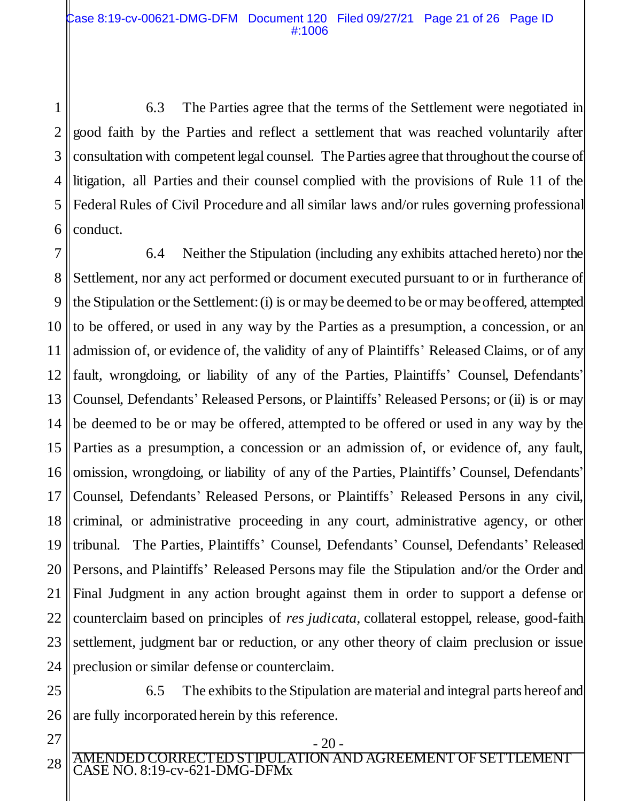1 2 3 4 5 6 6.3 The Parties agree that the terms of the Settlement were negotiated in good faith by the Parties and reflect a settlement that was reached voluntarily after consultation with competent legal counsel. The Parties agree that throughout the course of litigation, all Parties and their counsel complied with the provisions of Rule 11 of the Federal Rules of Civil Procedure and all similar laws and/or rules governing professional conduct.

7 8 9 10 11 12 13 14 15 16 17 18 19 20 21 22 23 24 6.4 Neither the Stipulation (including any exhibits attached hereto) nor the Settlement, nor any act performed or document executed pursuant to or in furtherance of the Stipulation or the Settlement: (i) is or may be deemed to be or may be offered, attempted to be offered, or used in any way by the Parties as a presumption, a concession, or an admission of, or evidence of, the validity of any of Plaintiffs' Released Claims, or of any fault, wrongdoing, or liability of any of the Parties, Plaintiffs' Counsel, Defendants' Counsel, Defendants' Released Persons, or Plaintiffs' Released Persons; or (ii) is or may be deemed to be or may be offered, attempted to be offered or used in any way by the Parties as a presumption, a concession or an admission of, or evidence of, any fault, omission, wrongdoing, or liability of any of the Parties, Plaintiffs' Counsel, Defendants' Counsel, Defendants' Released Persons, or Plaintiffs' Released Persons in any civil, criminal, or administrative proceeding in any court, administrative agency, or other tribunal. The Parties, Plaintiffs' Counsel, Defendants' Counsel, Defendants' Released Persons, and Plaintiffs' Released Persons may file the Stipulation and/or the Order and Final Judgment in any action brought against them in order to support a defense or counterclaim based on principles of *res judicata*, collateral estoppel, release, good-faith settlement, judgment bar or reduction, or any other theory of claim preclusion or issue preclusion or similar defense or counterclaim.

25 26 6.5 The exhibits to the Stipulation are material and integral parts hereof and are fully incorporated herein by this reference.

- 20 -

AMENDED CORRECTED STIPULATION AND AGREEMENT OF SETTLEMENT CASE NO. 8:19-cv-621-DMG-DFMx

27

28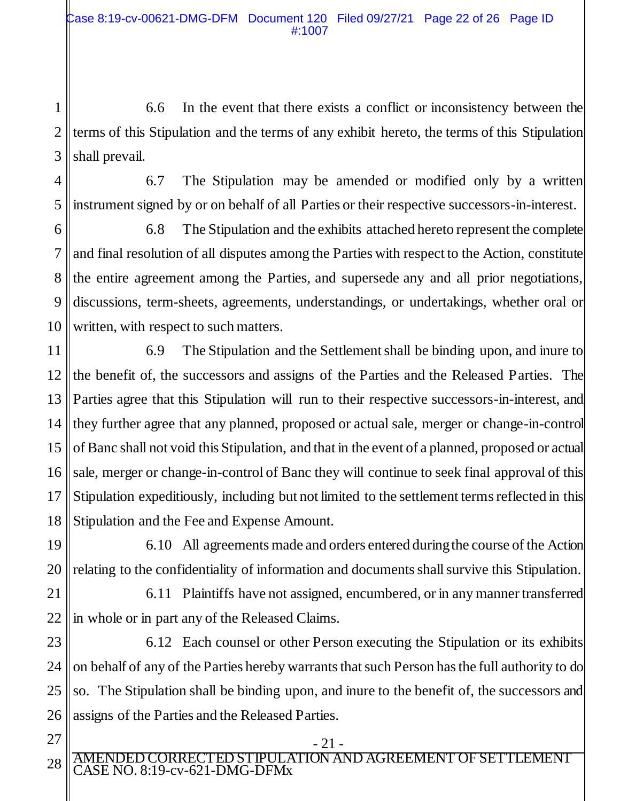1 2 3 6.6 In the event that there exists a conflict or inconsistency between the terms of this Stipulation and the terms of any exhibit hereto, the terms of this Stipulation shall prevail.

4

5

6.7 The Stipulation may be amended or modified only by a written instrument signed by or on behalf of all Parties or their respective successors-in-interest.

6 7 8 9 10 6.8 The Stipulation and the exhibits attached hereto represent the complete and final resolution of all disputes among the Parties with respect to the Action, constitute the entire agreement among the Parties, and supersede any and all prior negotiations, discussions, term-sheets, agreements, understandings, or undertakings, whether oral or written, with respect to such matters.

11 12 13 14 15 16 17 18 6.9 The Stipulation and the Settlement shall be binding upon, and inure to the benefit of, the successors and assigns of the Parties and the Released Parties. The Parties agree that this Stipulation will run to their respective successors-in-interest, and they further agree that any planned, proposed or actual sale, merger or change-in-control of Banc shall not void this Stipulation, and that in the event of a planned, proposed or actual sale, merger or change-in-control of Banc they will continue to seek final approval of this Stipulation expeditiously, including but not limited to the settlement terms reflected in this Stipulation and the Fee and Expense Amount.

19 20 6.10 All agreements made and orders entered during the course of the Action relating to the confidentiality of information and documents shall survive this Stipulation.

21 22 6.11 Plaintiffs have not assigned, encumbered, or in any manner transferred in whole or in part any of the Released Claims.

23 24 25 26 6.12 Each counsel or other Person executing the Stipulation or its exhibits on behalf of any of the Parties hereby warrants that such Person has the full authority to do so. The Stipulation shall be binding upon, and inure to the benefit of, the successors and assigns of the Parties and the Released Parties.

27 28

AMENDED CORRECTED STIPULATION AND AGREEMENT OF SETTLEMENT CASE NO. 8:19-cv-621-DMG-DFMx

- 21 -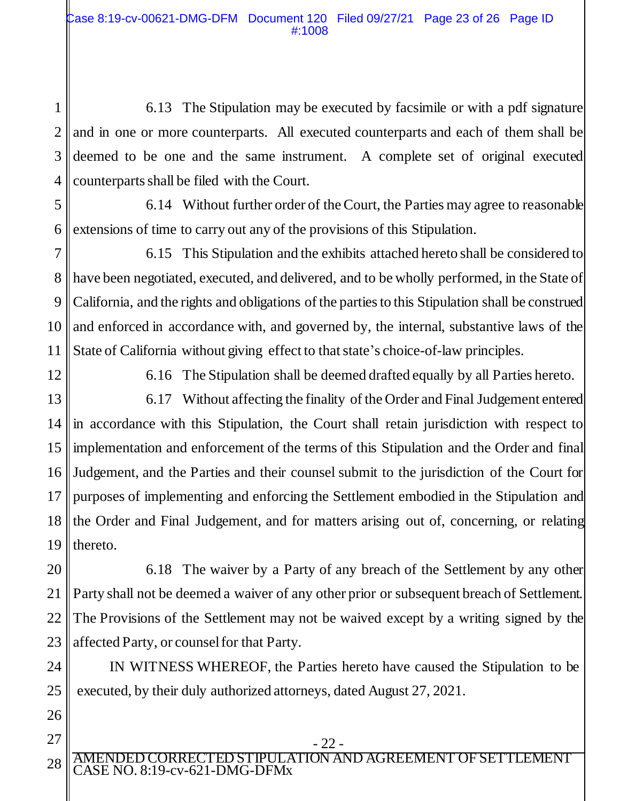1 2 3 4 6.13 The Stipulation may be executed by facsimile or with a pdf signature and in one or more counterparts. All executed counterparts and each of them shall be deemed to be one and the same instrument. A complete set of original executed counterparts shall be filed with the Court.

5 6 6.14 Without further order of the Court, the Parties may agree to reasonable extensions of time to carry out any of the provisions of this Stipulation.

7 8 9 10 11 6.15 This Stipulation and the exhibits attached hereto shall be considered to have been negotiated, executed, and delivered, and to be wholly performed, in the State of California, and the rights and obligations of the parties to this Stipulation shall be construed and enforced in accordance with, and governed by, the internal, substantive laws of the State of California without giving effect to that state's choice-of-law principles.

12

26

27

28

6.16 The Stipulation shall be deemed drafted equally by all Parties hereto.

13 14 15 16 17 18 19 6.17 Without affecting the finality of the Order and Final Judgement entered in accordance with this Stipulation, the Court shall retain jurisdiction with respect to implementation and enforcement of the terms of this Stipulation and the Order and final Judgement, and the Parties and their counsel submit to the jurisdiction of the Court for purposes of implementing and enforcing the Settlement embodied in the Stipulation and the Order and Final Judgement, and for matters arising out of, concerning, or relating thereto.

20 21 22 23 6.18 The waiver by a Party of any breach of the Settlement by any other Party shall not be deemed a waiver of any other prior or subsequent breach of Settlement. The Provisions of the Settlement may not be waived except by a writing signed by the affected Party, or counsel for that Party.

24 25 IN WITNESS WHEREOF, the Parties hereto have caused the Stipulation to be executed, by their duly authorized attorneys, dated August 27, 2021.

- 22 -

AMENDED CORRECTED STIPULATION AND AGREEMENT OF SETTLEMENT CASE NO. 8:19-cv-621-DMG-DFMx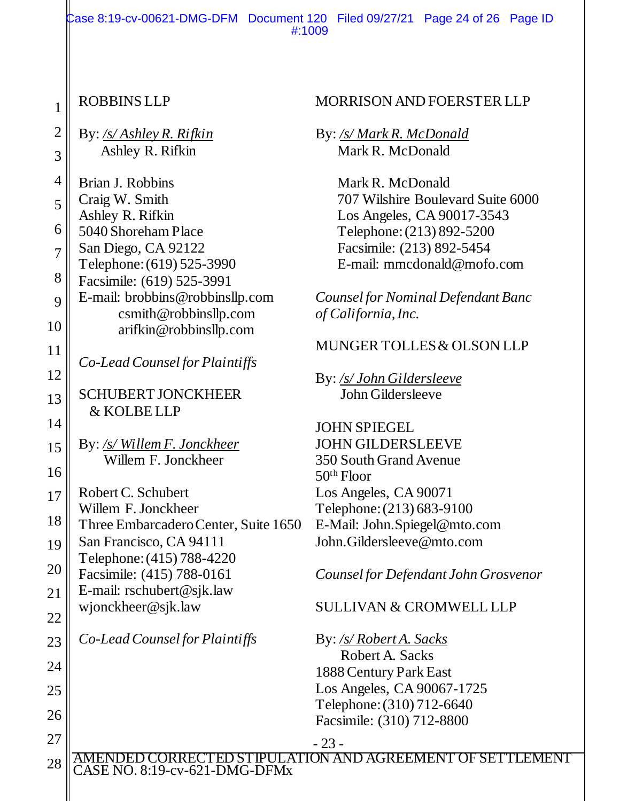Case 8:19-cv-00621-DMG-DFM Document 120 Filed 09/27/21 Page 24 of 26 Page ID #:1009

22

23

24

25

26

27

28

- 23 - AMENDED CORRECTED STIPULATION AND AGREEMENT OF SETTLEMENT CASE NO. 8:19-cv-621-DMG-DFMx ROBBINS LLP By: */s/ Ashley R. Rifkin* Ashley R. Rifkin Brian J. Robbins Craig W. Smith Ashley R. Rifkin 5040 Shoreham Place San Diego, CA 92122 Telephone: (619) 525-3990 Facsimile: (619) 525-3991 E-mail: brobbins@robbinsllp.com csmith@robbinsllp.com arifkin@robbinsllp.com *Co-Lead Counsel for Plaintiffs* SCHUBERT JONCKHEER & KOLBE LLP By: */s/ Willem F. Jonckheer* Willem F. Jonckheer Robert C. Schubert Willem F. Jonckheer Three Embarcadero Center, Suite 1650 San Francisco, CA 94111 Telephone: (415) 788-4220 Facsimile: (415) 788-0161 E-mail: rschubert@sjk.law wjonckheer@sjk.law *Co-Lead Counsel for Plaintiffs* 50th Floor

#### MORRISON AND FOERSTER LLP

By: */s/ Mark R. McDonald* Mark R. McDonald

> Mark R. McDonald 707 Wilshire Boulevard Suite 6000 Los Angeles, CA 90017-3543 Telephone: (213) 892-5200 Facsimile: (213) 892-5454 E-mail: mmcdonald@mofo.com

*Counsel for Nominal Defendant Banc of California, Inc.*

#### MUNGER TOLLES & OLSON LLP

By: */s/ John Gildersleeve* John Gildersleeve

JOHN SPIEGEL JOHN GILDERSLEEVE 350 South Grand Avenue Los Angeles, CA 90071 Telephone: (213) 683-9100 E-Mail: John.Spiegel@mto.com John.Gildersleeve@mto.com

*Counsel for Defendant John Grosvenor*

#### SULLIVAN & CROMWELL LLP

By: */s/ Robert A. Sacks* Robert A. Sacks 1888 Century Park East Los Angeles, CA 90067-1725 Telephone: (310) 712-6640 Facsimile: (310) 712-8800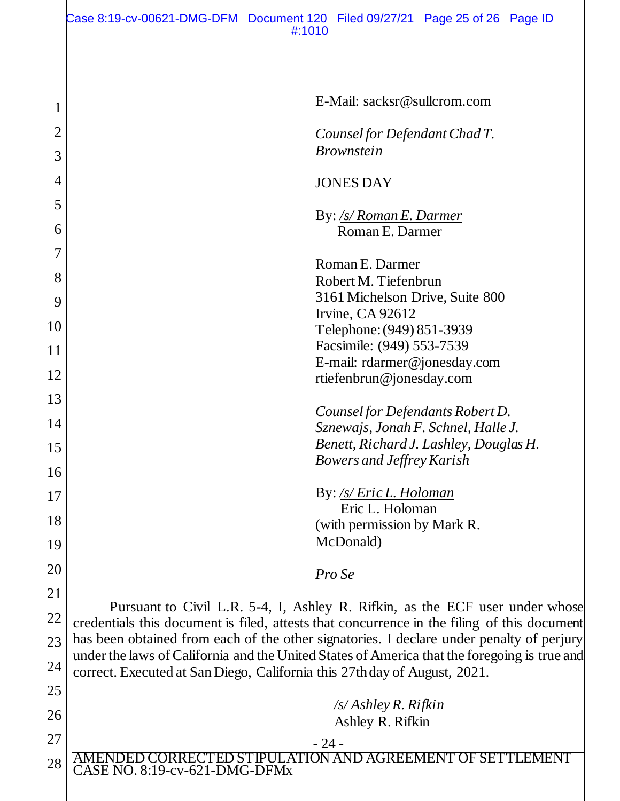| 1  | E-Mail: sacksr@sullcrom.com                                                                                                                                                 |  |  |  |  |
|----|-----------------------------------------------------------------------------------------------------------------------------------------------------------------------------|--|--|--|--|
| 2  | Counsel for Defendant Chad T.                                                                                                                                               |  |  |  |  |
| 3  | <i>Brownstein</i>                                                                                                                                                           |  |  |  |  |
| 4  | <b>JONES DAY</b>                                                                                                                                                            |  |  |  |  |
| 5  | By: /s/ Roman E. Darmer                                                                                                                                                     |  |  |  |  |
| 6  | Roman E. Darmer                                                                                                                                                             |  |  |  |  |
|    |                                                                                                                                                                             |  |  |  |  |
| 8  | Roman E. Darmer                                                                                                                                                             |  |  |  |  |
|    | Robert M. Tiefenbrun                                                                                                                                                        |  |  |  |  |
| 9  | 3161 Michelson Drive, Suite 800<br>Irvine, CA 92612                                                                                                                         |  |  |  |  |
| 10 | Telephone: (949) 851-3939                                                                                                                                                   |  |  |  |  |
| 11 | Facsimile: (949) 553-7539                                                                                                                                                   |  |  |  |  |
|    | E-mail: rdarmer@jonesday.com                                                                                                                                                |  |  |  |  |
| 12 | rtiefenbrun@jonesday.com                                                                                                                                                    |  |  |  |  |
| 13 |                                                                                                                                                                             |  |  |  |  |
| 14 | Counsel for Defendants Robert D.<br>Sznewajs, Jonah F. Schnel, Halle J.                                                                                                     |  |  |  |  |
|    | Benett, Richard J. Lashley, Douglas H.                                                                                                                                      |  |  |  |  |
| 15 | <b>Bowers and Jeffrey Karish</b>                                                                                                                                            |  |  |  |  |
| 16 |                                                                                                                                                                             |  |  |  |  |
| 17 | By: /s/ Eric L. Holoman                                                                                                                                                     |  |  |  |  |
| 18 | Eric L. Holoman                                                                                                                                                             |  |  |  |  |
|    | (with permission by Mark R                                                                                                                                                  |  |  |  |  |
| 19 | McDonald)                                                                                                                                                                   |  |  |  |  |
| 20 | Pro Se                                                                                                                                                                      |  |  |  |  |
| 21 |                                                                                                                                                                             |  |  |  |  |
| 22 | Pursuant to Civil L.R. 5-4, I, Ashley R. Rifkin, as the ECF user under whose<br>credentials this document is filed, attests that concurrence in the filing of this document |  |  |  |  |
| 23 | has been obtained from each of the other signatories. I declare under penalty of perjury                                                                                    |  |  |  |  |
|    | under the laws of California and the United States of America that the foregoing is true and                                                                                |  |  |  |  |
| 24 | correct. Executed at San Diego, California this 27th day of August, 2021.                                                                                                   |  |  |  |  |
| 25 |                                                                                                                                                                             |  |  |  |  |
| 26 | $\sqrt{s}/A$ shley R. Rifkin<br>Ashley R. Rifkin                                                                                                                            |  |  |  |  |
| 27 |                                                                                                                                                                             |  |  |  |  |
|    | $-24-$<br>AMENDED CORRECTED STIPULATION AND AGREEMENT OF SETTLEMENT                                                                                                         |  |  |  |  |
| 28 | CASE NO. 8:19-cv-621-DMG-DFMx                                                                                                                                               |  |  |  |  |
|    |                                                                                                                                                                             |  |  |  |  |